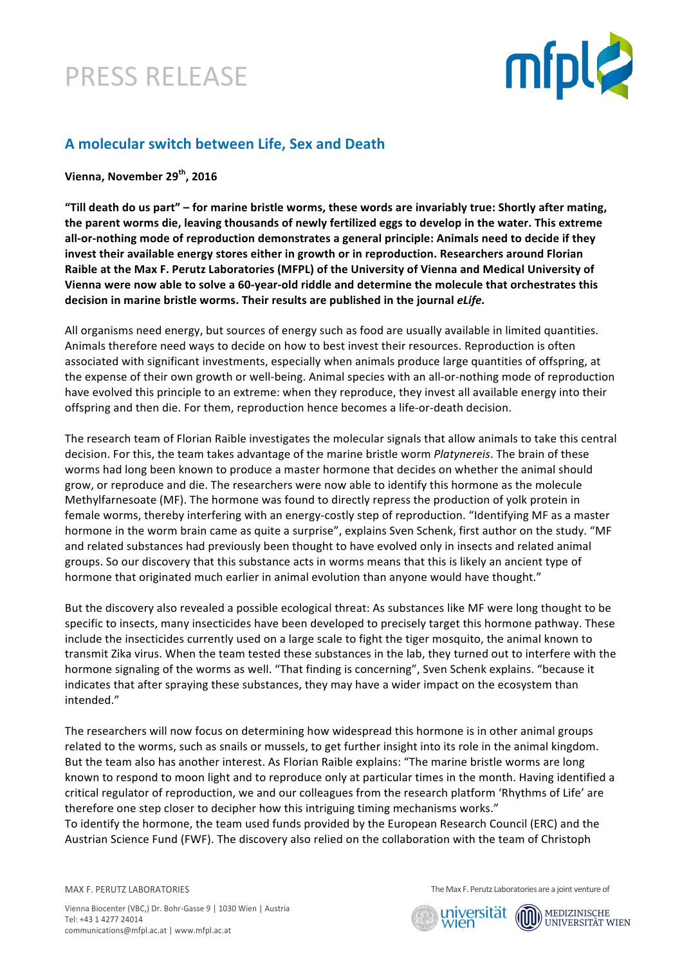



## **A molecular switch between Life, Sex and Death**

**Vienna, November 29th, 2016**

"Till death do us part" – for marine bristle worms, these words are invariably true: Shortly after mating, the parent worms die, leaving thousands of newly fertilized eggs to develop in the water. This extreme all-or-nothing mode of reproduction demonstrates a general principle: Animals need to decide if they **invest their available energy stores either in growth or in reproduction. Researchers around Florian** Raible at the Max F. Perutz Laboratories (MFPL) of the University of Vienna and Medical University of Vienna were now able to solve a 60-year-old riddle and determine the molecule that orchestrates this decision in marine bristle worms. Their results are published in the journal *eLife.* 

All organisms need energy, but sources of energy such as food are usually available in limited quantities. Animals therefore need ways to decide on how to best invest their resources. Reproduction is often associated with significant investments, especially when animals produce large quantities of offspring, at the expense of their own growth or well-being. Animal species with an all-or-nothing mode of reproduction have evolved this principle to an extreme: when they reproduce, they invest all available energy into their offspring and then die. For them, reproduction hence becomes a life-or-death decision.

The research team of Florian Raible investigates the molecular signals that allow animals to take this central decision. For this, the team takes advantage of the marine bristle worm *Platynereis*. The brain of these worms had long been known to produce a master hormone that decides on whether the animal should grow, or reproduce and die. The researchers were now able to identify this hormone as the molecule Methylfarnesoate (MF). The hormone was found to directly repress the production of yolk protein in female worms, thereby interfering with an energy-costly step of reproduction. "Identifying MF as a master hormone in the worm brain came as quite a surprise", explains Sven Schenk, first author on the study. "MF and related substances had previously been thought to have evolved only in insects and related animal groups. So our discovery that this substance acts in worms means that this is likely an ancient type of hormone that originated much earlier in animal evolution than anyone would have thought."

But the discovery also revealed a possible ecological threat: As substances like MF were long thought to be specific to insects, many insecticides have been developed to precisely target this hormone pathway. These include the insecticides currently used on a large scale to fight the tiger mosquito, the animal known to transmit Zika virus. When the team tested these substances in the lab, they turned out to interfere with the hormone signaling of the worms as well. "That finding is concerning", Sven Schenk explains. "because it indicates that after spraying these substances, they may have a wider impact on the ecosystem than intended."

The researchers will now focus on determining how widespread this hormone is in other animal groups related to the worms, such as snails or mussels, to get further insight into its role in the animal kingdom. But the team also has another interest. As Florian Raible explains: "The marine bristle worms are long known to respond to moon light and to reproduce only at particular times in the month. Having identified a critical regulator of reproduction, we and our colleagues from the research platform 'Rhythms of Life' are therefore one step closer to decipher how this intriguing timing mechanisms works."

To identify the hormone, the team used funds provided by the European Research Council (ERC) and the Austrian Science Fund (FWF). The discovery also relied on the collaboration with the team of Christoph

MAX F. PERUTZ LABORATORIES

The Max F. Perutz Laboratories are a joint venture of